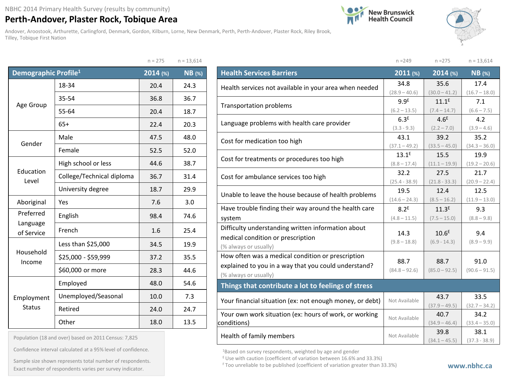## **Perth-Andover, Plaster Rock, Tobique Area**

Andover, Aroostook, Arthurette, Carlingford, Denmark, Gordon, Kilburn, Lorne, New Denmark, Perth, Perth-Andover, Plaster Rock, Riley Brook, Tilley, Tobique First Nation

 $n - 275$   $n - 12,614$ 





|                                  |                           |          | $11 - 1000 + 7$ |
|----------------------------------|---------------------------|----------|-----------------|
| Demographic Profile <sup>1</sup> |                           | 2014 (%) | <b>NB</b> (%)   |
|                                  | 18-34                     | 20.4     | 24.3            |
|                                  | 35-54                     | 36.8     | 36.7            |
| Age Group                        | 55-64                     | 20.4     | 18.7            |
|                                  | $65+$                     | 22.4     | 20.3            |
| Gender                           | Male                      | 47.5     | 48.0            |
|                                  | Female                    | 52.5     | 52.0            |
|                                  | High school or less       | 44.6     | 38.7            |
| Education<br>Level               | College/Technical diploma | 36.7     | 31.4            |
|                                  | University degree         | 18.7     | 29.9            |
| Aboriginal                       | Yes                       | 7.6      | 3.0             |
| Preferred                        | English                   | 98.4     | 74.6            |
| Language<br>of Service           | French                    | 1.6      | 25.4            |
|                                  | Less than \$25,000        | 34.5     | 19.9            |
| Household<br>Income              | \$25,000 - \$59,999       | 37.2     | 35.5            |
|                                  | \$60,000 or more          | 28.3     | 44.6            |
|                                  | Employed                  | 48.0     | 54.6            |
| Employment                       | Unemployed/Seasonal       | 10.0     | 7.3             |
| <b>Status</b>                    | Retired                   | 24.0     | 24.7            |
|                                  | Other                     | 18.0     | 13.5            |

| Population (18 and over) based on 2011 Census: 7,825 |  |  |  |  |  |  |  |
|------------------------------------------------------|--|--|--|--|--|--|--|
|------------------------------------------------------|--|--|--|--|--|--|--|

Confidence interval calculated at a 95% level of confidence.

Exact number of respondents varies per survey indicator.<br>Exact number of respondents varies per survey indicator. Sample size shown represents total number of respondents.

|                                                          | $n = 249$        | $n = 275$         | $n = 13,614$    |  |
|----------------------------------------------------------|------------------|-------------------|-----------------|--|
| <b>Health Services Barriers</b>                          | 2011 (%)         | 2014 (%)          | $NB$ (%)        |  |
| Health services not available in your area when needed   | 34.8             | 35.6              | 17.4            |  |
|                                                          | $(28.9 - 40.6)$  | $(30.0 - 41.2)$   | $(16.7 - 18.0)$ |  |
| Transportation problems                                  | 9.9 <sup>E</sup> | $11.1^E$          | 7.1             |  |
|                                                          | $(6.2 - 13.5)$   | $(7.4 - 14.7)$    | $(6.6 - 7.5)$   |  |
| Language problems with health care provider              | 6.3 <sup>E</sup> | 4.6 <sup>E</sup>  | 4.2             |  |
|                                                          | $(3.3 - 9.3)$    | $(2.2 - 7.0)$     | $(3.9 - 4.6)$   |  |
| Cost for medication too high                             | 43.1             | 39.2              | 35.2            |  |
|                                                          | $(37.1 - 49.2)$  | $(33.5 - 45.0)$   | $(34.3 - 36.0)$ |  |
| Cost for treatments or procedures too high               | $13.1^E$         | 15.5              | 19.9            |  |
|                                                          | $(8.8 - 17.4)$   | $(11.1 - 19.9)$   | $(19.2 - 20.6)$ |  |
| Cost for ambulance services too high                     | 32.2             | 27.5              | 21.7            |  |
|                                                          | $(25.4 - 38.9)$  | $(21.8 - 33.3)$   | $(20.9 - 22.4)$ |  |
| Unable to leave the house because of health problems     | 19.5             | 12.4              | 12.5            |  |
|                                                          | $(14.6 - 24.3)$  | $(8.5 - 16.2)$    | $(11.9 - 13.0)$ |  |
| Have trouble finding their way around the health care    | 8.2 <sup>E</sup> | 11.3 <sup>E</sup> | 9.3             |  |
| system                                                   | $(4.8 - 11.5)$   | $(7.5 - 15.0)$    | $(8.8 - 9.8)$   |  |
| Difficulty understanding written information about       |                  |                   |                 |  |
| medical condition or prescription                        | 14.3             | 10.6 <sup>E</sup> | 9.4             |  |
| (% always or usually)                                    | $(9.8 - 18.8)$   | $(6.9 - 14.3)$    | $(8.9 - 9.9)$   |  |
| How often was a medical condition or prescription        |                  |                   |                 |  |
| explained to you in a way that you could understand?     | 88.7             | 88.7              | 91.0            |  |
| (% always or usually)                                    | $(84.8 - 92.6)$  | $(85.0 - 92.5)$   | $(90.6 - 91.5)$ |  |
| Things that contribute a lot to feelings of stress       |                  |                   |                 |  |
|                                                          | Not Available    | 43.7              | 33.5            |  |
| Your financial situation (ex: not enough money, or debt) |                  | $(37.9 - 49.5)$   | $(32.7 - 34.2)$ |  |
| Your own work situation (ex: hours of work, or working   | Not Available    | 40.7              | 34.2            |  |
| conditions)                                              |                  | $(34.9 - 46.4)$   | $(33.4 - 35.0)$ |  |
| Health of family members                                 | Not Available    | 39.8              | 38.1            |  |
|                                                          |                  | $(34.1 - 45.5)$   | $(37.3 - 38.9)$ |  |

<sup>1</sup>Based on survey respondents, weighted by age and gender

E Use with caution (coefficient of variation between 16.6% and 33.3%)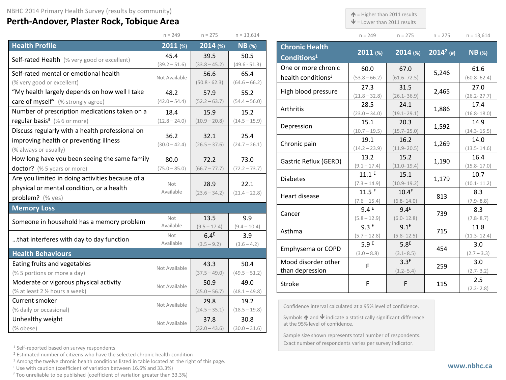## **Perth-Andover, Plaster Rock, Tobique Area**

 $\uparrow$  = Higher than 2011 results

 $\blacktriangleright$  = Lower than 2011 results

**Chronic Health** 

| n<br>$-$ ) |  |  |
|------------|--|--|

**Conditions1 2011 (%) 2014 (%) <sup>20142</sup> (#) NB (%)**

|  | า = 275 |  | $n = 13,614$ |
|--|---------|--|--------------|
|  |         |  |              |

|                                                  | $n = 249$        | $n = 275$        | $n = 13,614$    |
|--------------------------------------------------|------------------|------------------|-----------------|
| <b>Health Profile</b>                            | 2011(%)          | 2014 (%)         | $NB$ (%)        |
| Self-rated Health (% very good or excellent)     | 45.4             | 39.5             | 50.5            |
|                                                  | $(39.2 - 51.6)$  | $(33.8 - 45.2)$  | $(49.6 - 51.3)$ |
| Self-rated mental or emotional health            | Not Available    | 56.6             | 65.4            |
| (% very good or excellent)                       |                  | $(50.8 - 62.3)$  | $(64.6 - 66.2)$ |
| "My health largely depends on how well I take    | 48.2             | 57.9             | 55.2            |
| care of myself" (% strongly agree)               | $(42.0 - 54.4)$  | $(52.2 - 63.7)$  | $(54.4 - 56.0)$ |
| Number of prescription medications taken on a    | 18.4             | 15.9             | 15.2            |
| regular basis <sup>3</sup> (%6 or more)          | $(12.8 - 24.0)$  | $(10.9 - 20.8)$  | $(14.5 - 15.9)$ |
| Discuss regularly with a health professional on  | 36.2             | 32.1             | 25.4            |
| improving health or preventing illness           | $(30.0 - 42.4)$  | $(26.5 - 37.6)$  | $(24.7 - 26.1)$ |
| (% always or usually)                            |                  |                  |                 |
| How long have you been seeing the same family    | 80.0             | 72.2             | 73.0            |
| doctor? (% 5 years or more)                      | $(75.0 - 85.0)$  | $(66.7 - 77.7)$  | $(72.2 - 73.7)$ |
| Are you limited in doing activities because of a |                  |                  |                 |
| physical or mental condition, or a health        | Not<br>Available | 28.9             | 22.1            |
| problem? (% yes)                                 |                  | $(23.6 - 34.2)$  | $(21.4 - 22.8)$ |
| <b>Memory Loss</b>                               |                  |                  |                 |
| Someone in household has a memory problem        | Not              | 13.5             | 9.9             |
|                                                  | Available        | $(9.5 - 17.4)$   | $(9.4 - 10.4)$  |
| that interferes with day to day function         | Not              | 6.4 <sup>E</sup> | 3.9             |
|                                                  | Available        | $(3.5 - 9.2)$    | $(3.6 - 4.2)$   |
| <b>Health Behaviours</b>                         |                  |                  |                 |
| Eating fruits and vegetables                     | Not Available    | 43.3             | 50.4            |
| (% 5 portions or more a day)                     |                  | $(37.5 - 49.0)$  | $(49.5 - 51.2)$ |
| Moderate or vigorous physical activity           | Not Available    | 50.9             | 49.0            |
| (% at least 2 1/2 hours a week)                  |                  | $(45.0 - 56.7)$  | $(48.1 - 49.8)$ |
| Current smoker                                   | Not Available    | 29.8             | 19.2            |
| (% daily or occasional)                          |                  | $(24.5 - 35.1)$  | $(18.5 - 19.8)$ |
| Unhealthy weight                                 | Not Available    | 37.8             | 30.8            |
| (% obese)                                        |                  | $(32.0 - 43.6)$  | $(30.0 - 31.6)$ |

| Conditions <sup>1</sup>        |                 |                   |       |                 |
|--------------------------------|-----------------|-------------------|-------|-----------------|
| One or more chronic            | 60.0            | 67.0              |       | 61.6            |
| health conditions <sup>3</sup> | $(53.8 - 66.2)$ | $(61.6 - 72.5)$   | 5,246 | $(60.8 - 62.4)$ |
| High blood pressure            | 27.3            | 31.5              | 2,465 | 27.0            |
|                                | $(21.8 - 32.8)$ | $(26.1 - 36.9)$   |       | $(26.2 - 27.7)$ |
| Arthritis                      | 28.5            | 24.1              | 1,886 | 17.4            |
|                                | $(23.0 - 34.0)$ | $(19.1 - 29.1)$   |       | $(16.8 - 18.0)$ |
| Depression                     | 15.1            | 20.3              | 1,592 | 14.9            |
|                                | $(10.7 - 19.5)$ | $(15.7 - 25.0)$   |       | $(14.3 - 15.5)$ |
| Chronic pain                   | 19.1            | 16.2              | 1,269 | 14.0            |
|                                | $(14.2 - 23.9)$ | $(11.9 - 20.5)$   |       | $(13.5 - 14.6)$ |
| Gastric Reflux (GERD)          | 13.2            | 15.2              | 1,190 | 16.4            |
|                                | $(9.1 - 17.4)$  | $(11.0 - 19.4)$   |       | $(15.8 - 17.0)$ |
| <b>Diabetes</b>                | $11.1^E$        | 15.1              | 1,179 | 10.7            |
|                                | $(7.3 - 14.9)$  | $(10.9 - 19.2)$   |       | $(10.1 - 11.2)$ |
| Heart disease                  | 11.5E           | 10.4 <sup>E</sup> | 813   | 8.3             |
|                                | $(7.6 - 15.4)$  | $(6.8 - 14.0)$    |       | $(7.9 - 8.8)$   |
| Cancer                         | 9.4E            | 9.4 <sup>E</sup>  | 739   | 8.3             |
|                                | $(5.8 - 12.9)$  | $(6.0 - 12.8)$    |       | $(7.8 - 8.7)$   |
| Asthma                         | 9.3E            | $9.1^E$           | 715   | 11.8            |
|                                | $(5.7 - 12.8)$  | $(5.8 - 12.5)$    |       | $(11.3 - 12.4)$ |
| Emphysema or COPD              | 5.9E            | 5.8 <sup>E</sup>  | 454   | 3.0             |
|                                | $(3.0 - 8.8)$   | $(3.1 - 8.5)$     |       | $(2.7 - 3.3)$   |
| Mood disorder other            | F               | 3.3 <sup>E</sup>  | 259   | 3.0             |
| than depression                |                 | $(1.2 - 5.4)$     |       | $(2.7 - 3.2)$   |
| <b>Stroke</b>                  | F               | F                 | 115   | 2.5             |
|                                |                 |                   |       | $(2.2 - 2.8)$   |

Confidence interval calculated at a 95% level of confidence.

Symbols  $\bigwedge$  and  $\bigvee$  indicate a statistically significant difference at the 95% level of confidence.

Sample size shown represents total number of respondents. Exact number of respondents varies per survey indicator.

<sup>1</sup> Self-reported based on survey respondents

<sup>2</sup> Estimated number of citizens who have the selected chronic health condition

<sup>3</sup> Among the twelve chronic health conditions listed in table located at the right of this page.

 $E$  Use with caution (coefficient of variation between 16.6% and 33.3%)

F Too unreliable to be published (coefficient of variation greater than 33.3%)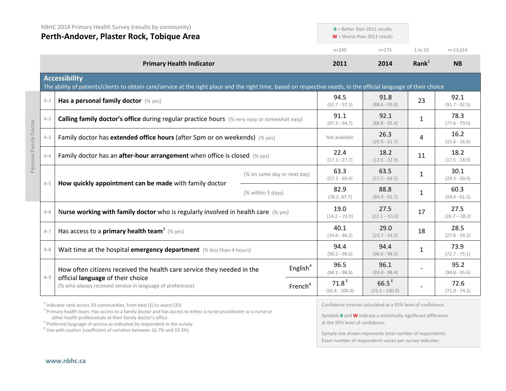|         | NBHC 2014 Primary Health Survey (results by community)<br>Perth-Andover, Plaster Rock, Tobique Area                                                                                       |                             |                     | $B =$ Better than 2011 results<br>$W =$ Worse than 2011 results |                              |              |                         |
|---------|-------------------------------------------------------------------------------------------------------------------------------------------------------------------------------------------|-----------------------------|---------------------|-----------------------------------------------------------------|------------------------------|--------------|-------------------------|
|         |                                                                                                                                                                                           |                             |                     | $n = 249$                                                       | $n = 275$                    | 1 to 33      | $n=13,614$              |
|         | <b>Primary Health Indicator</b>                                                                                                                                                           |                             |                     | 2011                                                            | 2014                         | Rank $2$     | <b>NB</b>               |
|         | <b>Accessibility</b><br>The ability of patients/clients to obtain care/service at the right place and the right time, based on respective needs, in the official language of their choice |                             |                     |                                                                 |                              |              |                         |
| $A-1$   | Has a personal family doctor (% yes)                                                                                                                                                      |                             |                     | 94.5<br>$(91.7 - 97.3)$                                         | 91.8<br>$(88.6 - 95.0)$      | 23           | 92.1<br>$(91.7 - 92.5)$ |
| $A-2$   | Calling family doctor's office during regular practice hours (% very easy or somewhat easy)                                                                                               |                             |                     | 91.1<br>$(87.5 - 94.7)$                                         | 92.1<br>$(88.8 - 95.4)$      | 1            | 78.3<br>$(77.6 - 79.0)$ |
| $A-3$   | Family doctor has extended office hours (after 5pm or on weekends) (% yes)                                                                                                                |                             |                     | Not available                                                   | 26.3<br>$(20.9 - 31.7)$      | 4            | 16.2<br>$(15.6 - 16.8)$ |
| $A - 4$ | Family doctor has an <b>after-hour arrangement</b> when office is closed $(\%$ yes)                                                                                                       |                             |                     | 22.4<br>$(17.1 - 27.7)$                                         | 18.2<br>$(13.5 - 22.9)$      | 11           | 18.2<br>$(17.5 - 18.9)$ |
|         |                                                                                                                                                                                           | (% on same day or next day) |                     | 63.3<br>$(57.2 - 69.4)$                                         | 63.5<br>$(57.5 - 69.5)$      | $\mathbf{1}$ | 30.1<br>$(29.3 - 30.9)$ |
| $A-5$   | How quickly appointment can be made with family doctor                                                                                                                                    | (% within 5 days)           |                     | 82.9<br>$(78.2 - 87.7)$                                         | 88.8<br>$(84.9 - 92.7)$      | $\mathbf{1}$ | 60.3<br>$(59.4 - 61.2)$ |
| $A-6$   | Nurse working with family doctor who is regularly involved in health care (% yes)                                                                                                         |                             |                     | 19.0<br>$(14.2 - 23.9)$                                         | 27.5<br>$(22.1 - 33.0)$      | 17           | 27.5<br>$(26.7 - 28.3)$ |
| $A-7$   | Has access to a primary health team <sup>3</sup> (% yes)                                                                                                                                  |                             |                     | 40.1<br>$(34.0 - 46.2)$                                         | 29.0<br>$(23.7 - 34.3)$      | 18           | 28.5<br>$(27.8 - 29.2)$ |
| $A-8$   | Wait time at the hospital emergency department (% less than 4 hours)                                                                                                                      |                             |                     | 94.4<br>$(90.2 - 98.6)$                                         | 94.4<br>$(90.6 - 98.2)$      | 1            | 73.9<br>$(72.7 - 75.1)$ |
|         | How often citizens received the health care service they needed in the                                                                                                                    |                             | English $4$         | 96.5<br>$(94.1 - 98.9)$                                         | 96.1<br>$(93.8 - 98.4)$      |              | 95.2<br>$(94.8 - 95.6)$ |
| $A-9$   | official language of their choice<br>(% who always received service in language of preference)                                                                                            |                             | French <sup>4</sup> | 71.8 <sup>E</sup><br>$(32.4 - 100.0)$                           | $66.5^E$<br>$(25.1 - 100.0)$ |              | 72.6<br>$(71.0 - 74.2)$ |

 $2$  Indicator rank across 33 communities, from best (1) to worst (33)

<sup>3</sup> Primary health team: Has access to a family doctor and has access to either a nurse practitioner or a nurse or other health professionals at their family doctor's office

<sup>4</sup> Preferred language of service as indicated by respondent in the survey E Use with caution (coefficient of variation between 16.7% and 33.3%)

Confidence interval calculated at a 95% level of confidence.

Symbols **B** and **W** indicate a statistically significant difference at the 95% level of confidence.

Sample size shown represents total number of respondents. Exact number of respondents varies per survey indicator.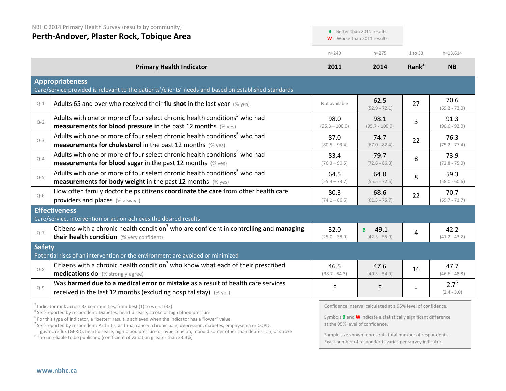|               | NBHC 2014 Primary Health Survey (results by community)<br>Perth-Andover, Plaster Rock, Tobique Area                                                                                                                                                                               | $B =$ Better than 2011 results<br>$W =$ Worse than 2011 results |                                                                                                                                               |                   |                            |
|---------------|-----------------------------------------------------------------------------------------------------------------------------------------------------------------------------------------------------------------------------------------------------------------------------------|-----------------------------------------------------------------|-----------------------------------------------------------------------------------------------------------------------------------------------|-------------------|----------------------------|
|               |                                                                                                                                                                                                                                                                                   | $n = 249$                                                       | $n = 275$                                                                                                                                     | 1 to 33           | $n=13,614$                 |
|               | <b>Primary Health Indicator</b>                                                                                                                                                                                                                                                   | 2011                                                            | 2014                                                                                                                                          | Rank <sup>2</sup> | <b>NB</b>                  |
|               | <b>Appropriateness</b><br>Care/service provided is relevant to the patients'/clients' needs and based on established standards                                                                                                                                                    |                                                                 |                                                                                                                                               |                   |                            |
| $Q-1$         | Adults 65 and over who received their flu shot in the last year $(\%$ yes)                                                                                                                                                                                                        | Not available                                                   | 62.5<br>$(52.9 - 72.1)$                                                                                                                       | 27                | 70.6<br>$(69.2 - 72.0)$    |
| $Q - 2$       | Adults with one or more of four select chronic health conditions <sup>5</sup> who had<br>measurements for blood pressure in the past 12 months (% yes)                                                                                                                            | 98.0<br>$(95.3 - 100.0)$                                        | 98.1<br>$(95.7 - 100.0)$                                                                                                                      | 3                 | 91.3<br>$(90.6 - 92.0)$    |
| $Q-3$         | Adults with one or more of four select chronic health conditions <sup>5</sup> who had<br><b>measurements for cholesterol</b> in the past 12 months (% yes)                                                                                                                        | 87.0<br>$(80.5 - 93.4)$                                         | 74.7<br>$(67.0 - 82.4)$                                                                                                                       | 22                | 76.3<br>$(75.2 - 77.4)$    |
| $Q-4$         | Adults with one or more of four select chronic health conditions <sup>5</sup> who had<br><b>measurements for blood sugar in the past 12 months</b> (% yes)                                                                                                                        | 83.4<br>$(76.3 - 90.5)$                                         | 79.7<br>$(72.6 - 86.8)$                                                                                                                       | 8                 | 73.9<br>$(72.8 - 75.0)$    |
| $Q-5$         | Adults with one or more of four select chronic health conditions <sup>5</sup> who had<br>measurements for body weight in the past 12 months (% yes)                                                                                                                               | 64.5<br>$(55.3 - 73.7)$                                         | 64.0<br>$(55.5 - 72.5)$                                                                                                                       | 8                 | 59.3<br>$(58.0 - 60.6)$    |
| $Q-6$         | How often family doctor helps citizens coordinate the care from other health care<br>providers and places (% always)                                                                                                                                                              | 80.3<br>$(74.1 - 86.6)$                                         | 68.6<br>$(61.5 - 75.7)$                                                                                                                       | 22                | 70.7<br>$(69.7 - 71.7)$    |
|               | <b>Effectiveness</b><br>Care/service, intervention or action achieves the desired results                                                                                                                                                                                         |                                                                 |                                                                                                                                               |                   |                            |
| $Q - 7$       | Citizens with a chronic health condition <sup>7</sup> who are confident in controlling and managing<br>their health condition (% very confident)                                                                                                                                  | 32.0<br>$(25.0 - 38.9)$                                         | 49.1<br>B<br>$(42.3 - 55.9)$                                                                                                                  | 4                 | 42.2<br>$(41.2 - 43.2)$    |
| <b>Safety</b> | Potential risks of an intervention or the environment are avoided or minimized                                                                                                                                                                                                    |                                                                 |                                                                                                                                               |                   |                            |
| $Q - 8$       | Citizens with a chronic health condition <sup>7</sup> who know what each of their prescribed<br>medications do (% strongly agree)                                                                                                                                                 | 46.5<br>$(38.7 - 54.3)$                                         | 47.6<br>$(40.3 - 54.9)$                                                                                                                       | 16                | 47.7<br>$(46.6 - 48.8)$    |
| $Q-9$         | Was harmed due to a medical error or mistake as a result of health care services<br>received in the last 12 months (excluding hospital stay) (% yes)                                                                                                                              | F                                                               | F                                                                                                                                             |                   | $2.7^{6}$<br>$(2.4 - 3.0)$ |
|               | $2$ Indicator rank across 33 communities, from best (1) to worst (33)<br><sup>5</sup> Self-reported by respondent: Diabetes, heart disease, stroke or high blood pressure<br>$6$ For this type of indicator, a "better" result is achieved when the indicator has a "lower" value |                                                                 | Confidence interval calculated at a 95% level of confidence.<br>Symbols <b>B</b> and <b>W</b> indicate a statistically significant difference |                   |                            |

<sup>7</sup> Self-reported by respondent: Arthritis, asthma, cancer, chronic pain, depression, diabetes, emphysema or COPD, gastric reflux (GERD), heart disease, high blood pressure or hypertension, mood disorder other than depression, or stroke <sup>F</sup> Too unreliable to be published (coefficient of variation greater than 33.3%)

at the 95% level of confidence.

Sample size shown represents total number of respondents. Exact number of respondents varies per survey indicator.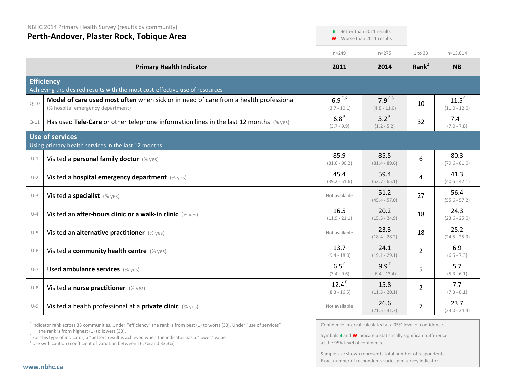NBHC 2014 Primary Health Survey (results by community)

## **Perth-Andover, Plaster Rock, Tobique Area**

|          |                                                                                                                            | $n = 249$                           | $n = 275$                          | 1 to 33           | $n=13,614$                    |
|----------|----------------------------------------------------------------------------------------------------------------------------|-------------------------------------|------------------------------------|-------------------|-------------------------------|
|          | <b>Primary Health Indicator</b>                                                                                            | 2011                                | 2014                               | Rank <sup>2</sup> | <b>NB</b>                     |
|          | <b>Efficiency</b><br>Achieving the desired results with the most cost-effective use of resources                           |                                     |                                    |                   |                               |
| $Q - 10$ | Model of care used most often when sick or in need of care from a health professional<br>(% hospital emergency department) | $6.9^{E,6}$<br>$(3.7 - 10.1)$       | $7.9^{E,6}$<br>$(4.8 - 11.0)$      | 10                | $11.5^{6}$<br>$(11.0 - 12.0)$ |
| $Q-11$   | Has used Tele-Care or other telephone information lines in the last 12 months $(\%$ yes)                                   | 6.8 <sup>E</sup><br>$(3.7 - 9.9)$   | 3.2 <sup>E</sup><br>$(1.2 - 5.2)$  | 32                | 7.4<br>$(7.0 - 7.8)$          |
|          | Use of services<br>Using primary health services in the last 12 months                                                     |                                     |                                    |                   |                               |
| $U-1$    | Visited a personal family doctor (% yes)                                                                                   | 85.9<br>$(81.6 - 90.2)$             | 85.5<br>$(81.4 - 89.6)$            | 6                 | 80.3<br>$(79.6 - 81.0)$       |
| $U-2$    | Visited a hospital emergency department (% yes)                                                                            | 45.4<br>$(39.2 - 51.6)$             | 59.4<br>$(53.7 - 65.1)$            | 4                 | 41.3<br>$(40.5 - 42.1)$       |
| $U-3$    | Visited a specialist (% yes)                                                                                               | Not available                       | 51.2<br>$(45.4 - 57.0)$            | 27                | 56.4<br>$(55.6 - 57.2)$       |
| $U-4$    | Visited an after-hours clinic or a walk-in clinic (% yes)                                                                  | 16.5<br>$(11.9 - 21.1)$             | 20.2<br>$(15.5 - 24.9)$            | 18                | 24.3<br>$(23.6 - 25.0)$       |
| $U-5$    | Visited an alternative practitioner (% yes)                                                                                | Not available                       | 23.3<br>$(18.4 - 28.2)$            | 18                | 25.2<br>$(24.5 - 25.9)$       |
| $U-6$    | Visited a community health centre (% yes)                                                                                  | 13.7<br>$(9.4 - 18.0)$              | 24.1<br>$(19.1 - 29.1)$            | $\overline{2}$    | 6.9<br>$(6.5 - 7.3)$          |
| $U - 7$  | Used ambulance services (% yes)                                                                                            | 6.5 <sup>E</sup><br>$(3.4 - 9.6)$   | 9.9 <sup>E</sup><br>$(6.4 - 13.4)$ | 5                 | 5.7<br>$(5.3 - 6.1)$          |
| $U-8$    | Visited a nurse practitioner (% yes)                                                                                       | 12.4 <sup>E</sup><br>$(8.3 - 16.5)$ | 15.8<br>$(11.5 - 20.1)$            | $\overline{2}$    | 7.7<br>$(7.3 - 8.1)$          |
| $U-9$    | Visited a health professional at a private clinic (% yes)                                                                  | Not available                       | 26.6<br>$(21.5 - 31.7)$            | 7                 | 23.7<br>$(23.0 - 24.4)$       |

 $2$  Indicator rank across 33 communities. Under "efficiency" the rank is from best (1) to worst (33). Under "use of services" the rank is from highest (1) to lowest (33).

<sup>6</sup> For this type of indicator, a "better" result is achieved when the indicator has a "lower" value  $E$ <sup>E</sup> Use with caution (coefficient of variation between 16.7% and 33.3%)

Confidence interval calculated at a 95% level of confidence.

**B** = Better than 2011 results W = Worse than 2011 results

Symbols **B** and **W** indicate a statistically significant difference at the 95% level of confidence.

Sample size shown represents total number of respondents. Exact number of respondents varies per survey indicator.